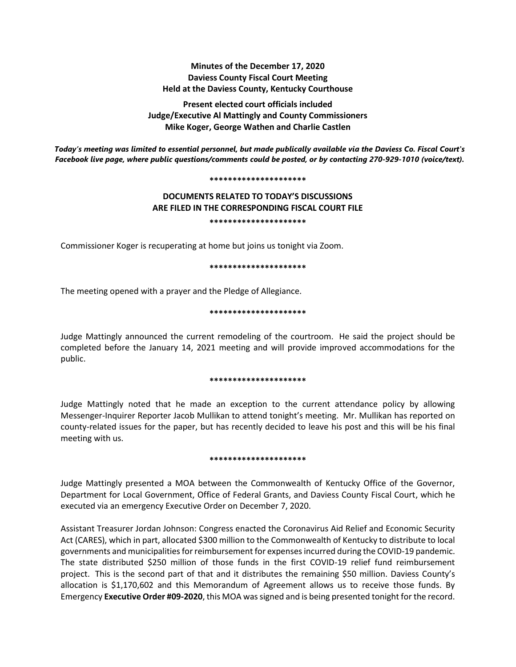# **Minutes of the December 17, 2020 Daviess County Fiscal Court Meeting Held at the Daviess County, Kentucky Courthouse**

**Present elected court officials included Judge/Executive Al Mattingly and County Commissioners Mike Koger, George Wathen and Charlie Castlen**

*Today's meeting was limited to essential personnel, but made publically available via the Daviess Co. Fiscal Court's Facebook live page, where public questions/comments could be posted, or by contacting 270-929-1010 (voice/text).*

#### **\*\*\*\*\*\*\*\*\*\*\*\*\*\*\*\*\*\*\*\*\***

# **DOCUMENTS RELATED TO TODAY'S DISCUSSIONS ARE FILED IN THE CORRESPONDING FISCAL COURT FILE \*\*\*\*\*\*\*\*\*\*\*\*\*\*\*\*\*\*\*\*\***

Commissioner Koger is recuperating at home but joins us tonight via Zoom.

#### **\*\*\*\*\*\*\*\*\*\*\*\*\*\*\*\*\*\*\*\*\***

The meeting opened with a prayer and the Pledge of Allegiance.

## **\*\*\*\*\*\*\*\*\*\*\*\*\*\*\*\*\*\*\*\*\***

Judge Mattingly announced the current remodeling of the courtroom. He said the project should be completed before the January 14, 2021 meeting and will provide improved accommodations for the public.

### **\*\*\*\*\*\*\*\*\*\*\*\*\*\*\*\*\*\*\*\*\***

Judge Mattingly noted that he made an exception to the current attendance policy by allowing Messenger-Inquirer Reporter Jacob Mullikan to attend tonight's meeting. Mr. Mullikan has reported on county-related issues for the paper, but has recently decided to leave his post and this will be his final meeting with us.

### **\*\*\*\*\*\*\*\*\*\*\*\*\*\*\*\*\*\*\*\*\***

Judge Mattingly presented a MOA between the Commonwealth of Kentucky Office of the Governor, Department for Local Government, Office of Federal Grants, and Daviess County Fiscal Court, which he executed via an emergency Executive Order on December 7, 2020.

Assistant Treasurer Jordan Johnson: Congress enacted the Coronavirus Aid Relief and Economic Security Act (CARES), which in part, allocated \$300 million to the Commonwealth of Kentucky to distribute to local governments and municipalities for reimbursement for expenses incurred during the COVID-19 pandemic. The state distributed \$250 million of those funds in the first COVID-19 relief fund reimbursement project. This is the second part of that and it distributes the remaining \$50 million. Daviess County's allocation is \$1,170,602 and this Memorandum of Agreement allows us to receive those funds. By Emergency **Executive Order #09-2020**, this MOA was signed and is being presented tonight for the record.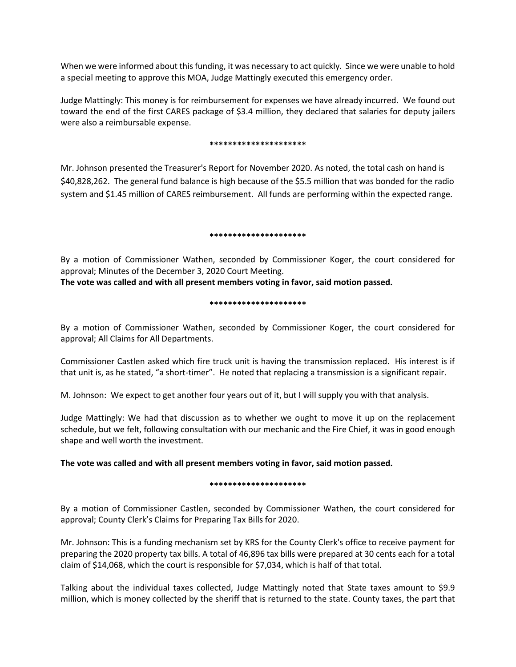When we were informed about this funding, it was necessary to act quickly. Since we were unable to hold a special meeting to approve this MOA, Judge Mattingly executed this emergency order.

Judge Mattingly: This money is for reimbursement for expenses we have already incurred. We found out toward the end of the first CARES package of \$3.4 million, they declared that salaries for deputy jailers were also a reimbursable expense.

### **\*\*\*\*\*\*\*\*\*\*\*\*\*\*\*\*\*\*\*\*\***

Mr. Johnson presented the Treasurer's Report for November 2020. As noted, the total cash on hand is \$40,828,262. The general fund balance is high because of the \$5.5 million that was bonded for the radio system and \$1.45 million of CARES reimbursement. All funds are performing within the expected range.

## **\*\*\*\*\*\*\*\*\*\*\*\*\*\*\*\*\*\*\*\*\***

By a motion of Commissioner Wathen, seconded by Commissioner Koger, the court considered for approval; Minutes of the December 3, 2020 Court Meeting.

**The vote was called and with all present members voting in favor, said motion passed.** 

# **\*\*\*\*\*\*\*\*\*\*\*\*\*\*\*\*\*\*\*\*\***

By a motion of Commissioner Wathen, seconded by Commissioner Koger, the court considered for approval; All Claims for All Departments.

Commissioner Castlen asked which fire truck unit is having the transmission replaced. His interest is if that unit is, as he stated, "a short-timer". He noted that replacing a transmission is a significant repair.

M. Johnson: We expect to get another four years out of it, but I will supply you with that analysis.

Judge Mattingly: We had that discussion as to whether we ought to move it up on the replacement schedule, but we felt, following consultation with our mechanic and the Fire Chief, it was in good enough shape and well worth the investment.

# **The vote was called and with all present members voting in favor, said motion passed.**

# **\*\*\*\*\*\*\*\*\*\*\*\*\*\*\*\*\*\*\*\*\***

By a motion of Commissioner Castlen, seconded by Commissioner Wathen, the court considered for approval; County Clerk's Claims for Preparing Tax Bills for 2020.

Mr. Johnson: This is a funding mechanism set by KRS for the County Clerk's office to receive payment for preparing the 2020 property tax bills. A total of 46,896 tax bills were prepared at 30 cents each for a total claim of \$14,068, which the court is responsible for \$7,034, which is half of that total.

Talking about the individual taxes collected, Judge Mattingly noted that State taxes amount to \$9.9 million, which is money collected by the sheriff that is returned to the state. County taxes, the part that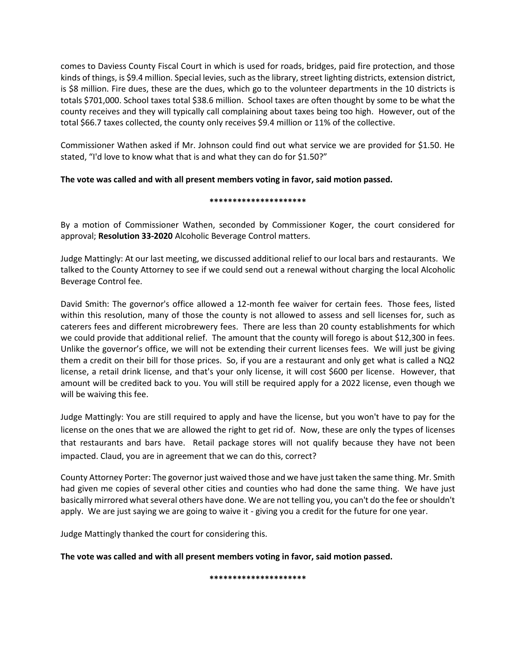comes to Daviess County Fiscal Court in which is used for roads, bridges, paid fire protection, and those kinds of things, is \$9.4 million. Special levies, such as the library, street lighting districts, extension district, is \$8 million. Fire dues, these are the dues, which go to the volunteer departments in the 10 districts is totals \$701,000. School taxes total \$38.6 million. School taxes are often thought by some to be what the county receives and they will typically call complaining about taxes being too high. However, out of the total \$66.7 taxes collected, the county only receives \$9.4 million or 11% of the collective.

Commissioner Wathen asked if Mr. Johnson could find out what service we are provided for \$1.50. He stated, "I'd love to know what that is and what they can do for \$1.50?"

# **The vote was called and with all present members voting in favor, said motion passed.**

# **\*\*\*\*\*\*\*\*\*\*\*\*\*\*\*\*\*\*\*\*\***

By a motion of Commissioner Wathen, seconded by Commissioner Koger, the court considered for approval; **Resolution 33-2020** Alcoholic Beverage Control matters.

Judge Mattingly: At our last meeting, we discussed additional relief to our local bars and restaurants. We talked to the County Attorney to see if we could send out a renewal without charging the local Alcoholic Beverage Control fee.

David Smith: The governor's office allowed a 12-month fee waiver for certain fees. Those fees, listed within this resolution, many of those the county is not allowed to assess and sell licenses for, such as caterers fees and different microbrewery fees. There are less than 20 county establishments for which we could provide that additional relief. The amount that the county will forego is about \$12,300 in fees. Unlike the governor's office, we will not be extending their current licenses fees. We will just be giving them a credit on their bill for those prices. So, if you are a restaurant and only get what is called a NQ2 license, a retail drink license, and that's your only license, it will cost \$600 per license. However, that amount will be credited back to you. You will still be required apply for a 2022 license, even though we will be waiving this fee.

Judge Mattingly: You are still required to apply and have the license, but you won't have to pay for the license on the ones that we are allowed the right to get rid of. Now, these are only the types of licenses that restaurants and bars have. Retail package stores will not qualify because they have not been impacted. Claud, you are in agreement that we can do this, correct?

County Attorney Porter: The governor just waived those and we have just taken the same thing. Mr. Smith had given me copies of several other cities and counties who had done the same thing. We have just basically mirrored what several others have done. We are not telling you, you can't do the fee or shouldn't apply. We are just saying we are going to waive it - giving you a credit for the future for one year.

Judge Mattingly thanked the court for considering this.

**The vote was called and with all present members voting in favor, said motion passed.** 

**\*\*\*\*\*\*\*\*\*\*\*\*\*\*\*\*\*\*\*\*\***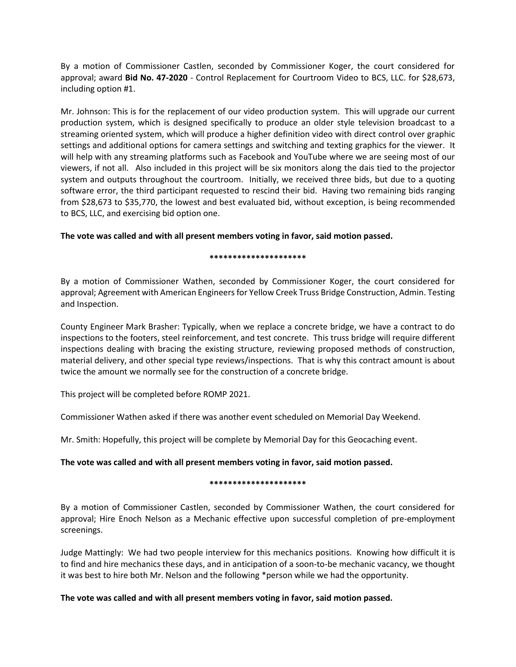By a motion of Commissioner Castlen, seconded by Commissioner Koger, the court considered for approval; award **Bid No. 47-2020** - Control Replacement for Courtroom Video to BCS, LLC. for \$28,673, including option #1.

Mr. Johnson: This is for the replacement of our video production system. This will upgrade our current production system, which is designed specifically to produce an older style television broadcast to a streaming oriented system, which will produce a higher definition video with direct control over graphic settings and additional options for camera settings and switching and texting graphics for the viewer. It will help with any streaming platforms such as Facebook and YouTube where we are seeing most of our viewers, if not all. Also included in this project will be six monitors along the dais tied to the projector system and outputs throughout the courtroom. Initially, we received three bids, but due to a quoting software error, the third participant requested to rescind their bid. Having two remaining bids ranging from \$28,673 to \$35,770, the lowest and best evaluated bid, without exception, is being recommended to BCS, LLC, and exercising bid option one.

# **The vote was called and with all present members voting in favor, said motion passed.**

## **\*\*\*\*\*\*\*\*\*\*\*\*\*\*\*\*\*\*\*\*\***

By a motion of Commissioner Wathen, seconded by Commissioner Koger, the court considered for approval; Agreement with American Engineers for Yellow Creek Truss Bridge Construction, Admin. Testing and Inspection.

County Engineer Mark Brasher: Typically, when we replace a concrete bridge, we have a contract to do inspections to the footers, steel reinforcement, and test concrete. This truss bridge will require different inspections dealing with bracing the existing structure, reviewing proposed methods of construction, material delivery, and other special type reviews/inspections. That is why this contract amount is about twice the amount we normally see for the construction of a concrete bridge.

This project will be completed before ROMP 2021.

Commissioner Wathen asked if there was another event scheduled on Memorial Day Weekend.

Mr. Smith: Hopefully, this project will be complete by Memorial Day for this Geocaching event.

# **The vote was called and with all present members voting in favor, said motion passed.**

# **\*\*\*\*\*\*\*\*\*\*\*\*\*\*\*\*\*\*\*\*\***

By a motion of Commissioner Castlen, seconded by Commissioner Wathen, the court considered for approval; Hire Enoch Nelson as a Mechanic effective upon successful completion of pre-employment screenings.

Judge Mattingly: We had two people interview for this mechanics positions. Knowing how difficult it is to find and hire mechanics these days, and in anticipation of a soon-to-be mechanic vacancy, we thought it was best to hire both Mr. Nelson and the following \*person while we had the opportunity.

# **The vote was called and with all present members voting in favor, said motion passed.**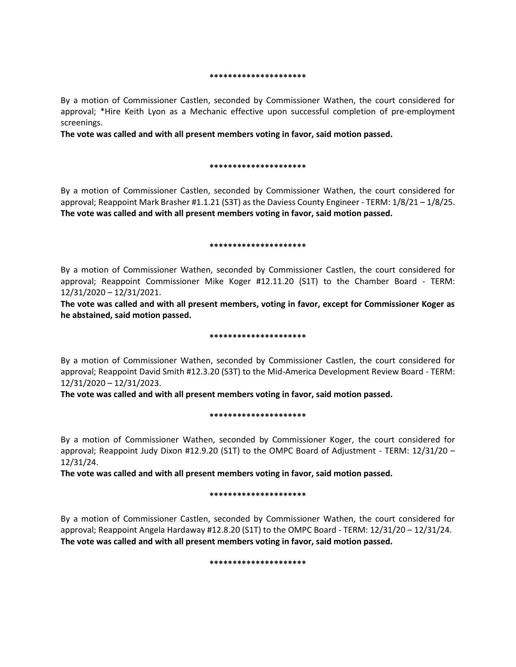#### **\*\*\*\*\*\*\*\*\*\*\*\*\*\*\*\*\*\*\*\*\***

By a motion of Commissioner Castlen, seconded by Commissioner Wathen, the court considered for approval; \*Hire Keith Lyon as a Mechanic effective upon successful completion of pre-employment screenings.

**The vote was called and with all present members voting in favor, said motion passed.** 

#### **\*\*\*\*\*\*\*\*\*\*\*\*\*\*\*\*\*\*\*\*\***

By a motion of Commissioner Castlen, seconded by Commissioner Wathen, the court considered for approval; Reappoint Mark Brasher #1.1.21 (S3T) as the Daviess County Engineer - TERM: 1/8/21 – 1/8/25. **The vote was called and with all present members voting in favor, said motion passed.** 

#### **\*\*\*\*\*\*\*\*\*\*\*\*\*\*\*\*\*\*\*\*\***

By a motion of Commissioner Wathen, seconded by Commissioner Castlen, the court considered for approval; Reappoint Commissioner Mike Koger #12.11.20 (S1T) to the Chamber Board - TERM: 12/31/2020 – 12/31/2021.

**The vote was called and with all present members, voting in favor, except for Commissioner Koger as he abstained, said motion passed.** 

### **\*\*\*\*\*\*\*\*\*\*\*\*\*\*\*\*\*\*\*\*\***

By a motion of Commissioner Wathen, seconded by Commissioner Castlen, the court considered for approval; Reappoint David Smith #12.3.20 (S3T) to the Mid-America Development Review Board - TERM: 12/31/2020 – 12/31/2023.

**The vote was called and with all present members voting in favor, said motion passed.** 

### **\*\*\*\*\*\*\*\*\*\*\*\*\*\*\*\*\*\*\*\*\***

By a motion of Commissioner Wathen, seconded by Commissioner Koger, the court considered for approval; Reappoint Judy Dixon #12.9.20 (S1T) to the OMPC Board of Adjustment - TERM: 12/31/20 – 12/31/24.

**The vote was called and with all present members voting in favor, said motion passed.** 

### **\*\*\*\*\*\*\*\*\*\*\*\*\*\*\*\*\*\*\*\*\***

By a motion of Commissioner Castlen, seconded by Commissioner Wathen, the court considered for approval; Reappoint Angela Hardaway #12.8.20 (S1T) to the OMPC Board - TERM: 12/31/20 – 12/31/24. **The vote was called and with all present members voting in favor, said motion passed.** 

#### **\*\*\*\*\*\*\*\*\*\*\*\*\*\*\*\*\*\*\*\*\***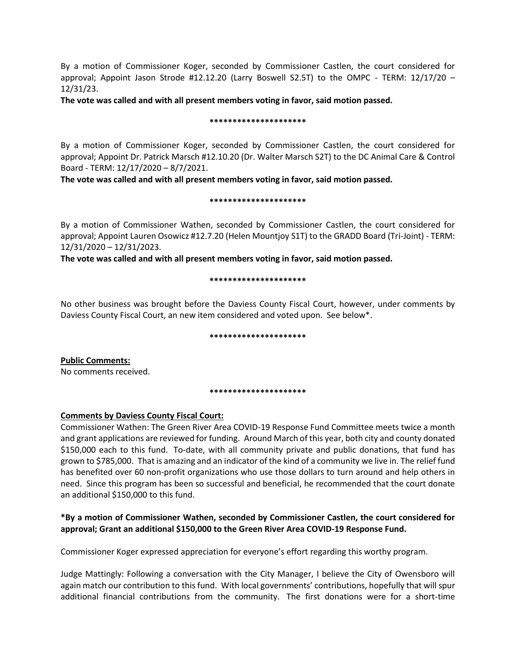By a motion of Commissioner Koger, seconded by Commissioner Castlen, the court considered for approval; Appoint Jason Strode #12.12.20 (Larry Boswell S2.5T) to the OMPC - TERM: 12/17/20 – 12/31/23.

**The vote was called and with all present members voting in favor, said motion passed.** 

## **\*\*\*\*\*\*\*\*\*\*\*\*\*\*\*\*\*\*\*\*\***

By a motion of Commissioner Koger, seconded by Commissioner Castlen, the court considered for approval; Appoint Dr. Patrick Marsch #12.10.20 (Dr. Walter Marsch S2T) to the DC Animal Care & Control Board - TERM: 12/17/2020 – 8/7/2021.

**The vote was called and with all present members voting in favor, said motion passed.** 

## **\*\*\*\*\*\*\*\*\*\*\*\*\*\*\*\*\*\*\*\*\***

By a motion of Commissioner Wathen, seconded by Commissioner Castlen, the court considered for approval; Appoint Lauren Osowicz #12.7.20 (Helen Mountjoy S1T) to the GRADD Board (Tri-Joint) - TERM: 12/31/2020 – 12/31/2023.

**The vote was called and with all present members voting in favor, said motion passed.** 

## **\*\*\*\*\*\*\*\*\*\*\*\*\*\*\*\*\*\*\*\*\***

No other business was brought before the Daviess County Fiscal Court, however, under comments by Daviess County Fiscal Court, an new item considered and voted upon. See below\*.

## **\*\*\*\*\*\*\*\*\*\*\*\*\*\*\*\*\*\*\*\*\***

**Public Comments:**  No comments received.

#### **\*\*\*\*\*\*\*\*\*\*\*\*\*\*\*\*\*\*\*\*\***

# **Comments by Daviess County Fiscal Court:**

Commissioner Wathen: The Green River Area COVID-19 Response Fund Committee meets twice a month and grant applications are reviewed for funding. Around March of this year, both city and county donated \$150,000 each to this fund. To-date, with all community private and public donations, that fund has grown to \$785,000. That is amazing and an indicator of the kind of a community we live in. The relief fund has benefited over 60 non-profit organizations who use those dollars to turn around and help others in need. Since this program has been so successful and beneficial, he recommended that the court donate an additional \$150,000 to this fund.

# **\*By a motion of Commissioner Wathen, seconded by Commissioner Castlen, the court considered for approval; Grant an additional \$150,000 to the Green River Area COVID-19 Response Fund.**

Commissioner Koger expressed appreciation for everyone's effort regarding this worthy program.

Judge Mattingly: Following a conversation with the City Manager, I believe the City of Owensboro will again match our contribution to this fund. With local governments' contributions, hopefully that will spur additional financial contributions from the community. The first donations were for a short-time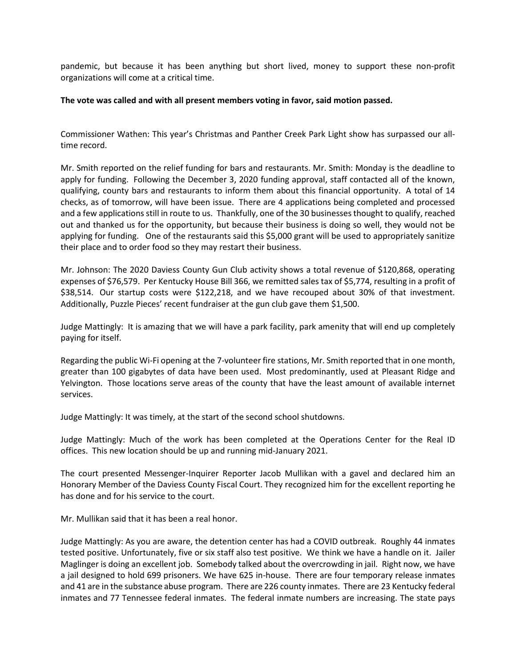pandemic, but because it has been anything but short lived, money to support these non-profit organizations will come at a critical time.

# **The vote was called and with all present members voting in favor, said motion passed.**

Commissioner Wathen: This year's Christmas and Panther Creek Park Light show has surpassed our alltime record.

Mr. Smith reported on the relief funding for bars and restaurants. Mr. Smith: Monday is the deadline to apply for funding. Following the December 3, 2020 funding approval, staff contacted all of the known, qualifying, county bars and restaurants to inform them about this financial opportunity. A total of 14 checks, as of tomorrow, will have been issue. There are 4 applications being completed and processed and a few applications still in route to us. Thankfully, one of the 30 businesses thought to qualify, reached out and thanked us for the opportunity, but because their business is doing so well, they would not be applying for funding. One of the restaurants said this \$5,000 grant will be used to appropriately sanitize their place and to order food so they may restart their business.

Mr. Johnson: The 2020 Daviess County Gun Club activity shows a total revenue of \$120,868, operating expenses of \$76,579. Per Kentucky House Bill 366, we remitted sales tax of \$5,774, resulting in a profit of \$38,514. Our startup costs were \$122,218, and we have recouped about 30% of that investment. Additionally, Puzzle Pieces' recent fundraiser at the gun club gave them \$1,500.

Judge Mattingly: It is amazing that we will have a park facility, park amenity that will end up completely paying for itself.

Regarding the public Wi-Fi opening at the 7-volunteer fire stations, Mr. Smith reported that in one month, greater than 100 gigabytes of data have been used. Most predominantly, used at Pleasant Ridge and Yelvington. Those locations serve areas of the county that have the least amount of available internet services.

Judge Mattingly: It was timely, at the start of the second school shutdowns.

Judge Mattingly: Much of the work has been completed at the Operations Center for the Real ID offices. This new location should be up and running mid-January 2021.

The court presented Messenger-Inquirer Reporter Jacob Mullikan with a gavel and declared him an Honorary Member of the Daviess County Fiscal Court. They recognized him for the excellent reporting he has done and for his service to the court.

Mr. Mullikan said that it has been a real honor.

Judge Mattingly: As you are aware, the detention center has had a COVID outbreak. Roughly 44 inmates tested positive. Unfortunately, five or six staff also test positive. We think we have a handle on it. Jailer Maglinger is doing an excellent job. Somebody talked about the overcrowding in jail. Right now, we have a jail designed to hold 699 prisoners. We have 625 in-house. There are four temporary release inmates and 41 are in the substance abuse program. There are 226 county inmates. There are 23 Kentucky federal inmates and 77 Tennessee federal inmates. The federal inmate numbers are increasing. The state pays